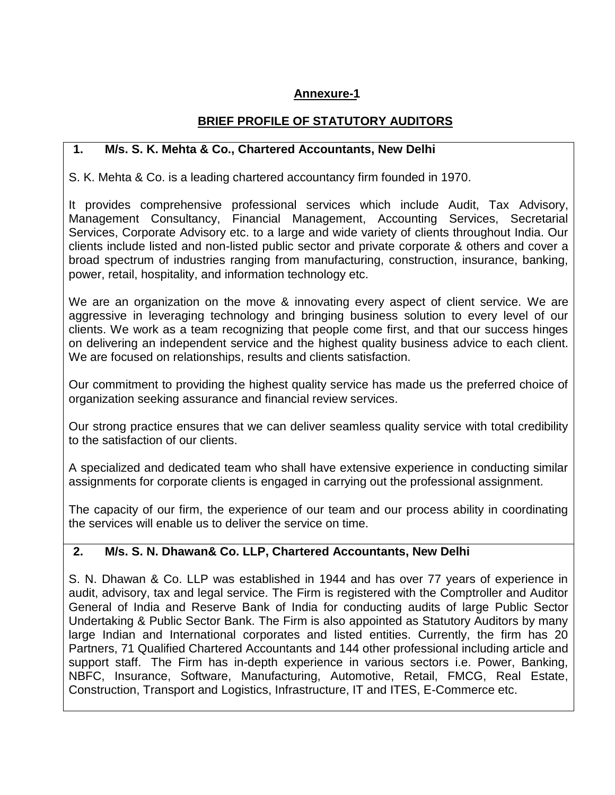## **Annexure-1**

### **BRIEF PROFILE OF STATUTORY AUDITORS**

#### **1. M/s. S. K. Mehta & Co., Chartered Accountants, New Delhi**

S. K. Mehta & Co. is a leading chartered accountancy firm founded in 1970.

It provides comprehensive professional services which include Audit, Tax Advisory, Management Consultancy, Financial Management, Accounting Services, Secretarial Services, Corporate Advisory etc. to a large and wide variety of clients throughout India. Our clients include listed and non-listed public sector and private corporate & others and cover a broad spectrum of industries ranging from manufacturing, construction, insurance, banking, power, retail, hospitality, and information technology etc.

We are an organization on the move & innovating every aspect of client service. We are aggressive in leveraging technology and bringing business solution to every level of our clients. We work as a team recognizing that people come first, and that our success hinges on delivering an independent service and the highest quality business advice to each client. We are focused on relationships, results and clients satisfaction.

Our commitment to providing the highest quality service has made us the preferred choice of organization seeking assurance and financial review services.

Our strong practice ensures that we can deliver seamless quality service with total credibility to the satisfaction of our clients.

A specialized and dedicated team who shall have extensive experience in conducting similar assignments for corporate clients is engaged in carrying out the professional assignment.

The capacity of our firm, the experience of our team and our process ability in coordinating the services will enable us to deliver the service on time.

# **2. M/s. S. N. Dhawan& Co. LLP, Chartered Accountants, New Delhi**

S. N. Dhawan & Co. LLP was established in 1944 and has over 77 years of experience in audit, advisory, tax and legal service. The Firm is registered with the Comptroller and Auditor General of India and Reserve Bank of India for conducting audits of large Public Sector Undertaking & Public Sector Bank. The Firm is also appointed as Statutory Auditors by many large Indian and International corporates and listed entities. Currently, the firm has 20 Partners, 71 Qualified Chartered Accountants and 144 other professional including article and support staff. The Firm has in-depth experience in various sectors i.e. Power, Banking, NBFC, Insurance, Software, Manufacturing, Automotive, Retail, FMCG, Real Estate, Construction, Transport and Logistics, Infrastructure, IT and ITES, E-Commerce etc.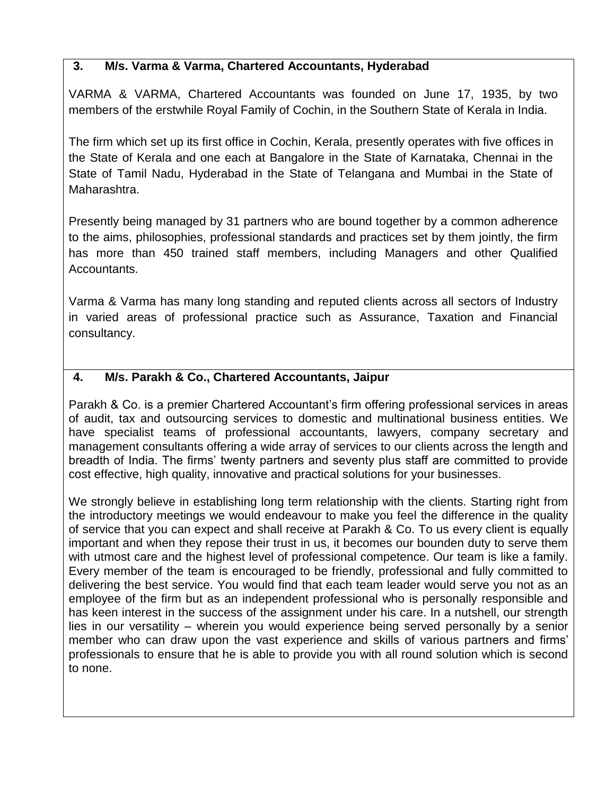### **3. M/s. Varma & Varma, Chartered Accountants, Hyderabad**

VARMA & VARMA, Chartered Accountants was founded on June 17, 1935, by two members of the erstwhile Royal Family of Cochin, in the Southern State of Kerala in India.

The firm which set up its first office in Cochin, Kerala, presently operates with five offices in the State of Kerala and one each at Bangalore in the State of Karnataka, Chennai in the State of Tamil Nadu, Hyderabad in the State of Telangana and Mumbai in the State of Maharashtra.

Presently being managed by 31 partners who are bound together by a common adherence to the aims, philosophies, professional standards and practices set by them jointly, the firm has more than 450 trained staff members, including Managers and other Qualified Accountants.

Varma & Varma has many long standing and reputed clients across all sectors of Industry in varied areas of professional practice such as Assurance, Taxation and Financial consultancy.

### **4. M/s. Parakh & Co., Chartered Accountants, Jaipur**

Parakh & Co. is a premier Chartered Accountant's firm offering professional services in areas of audit, tax and outsourcing services to domestic and multinational business entities. We have specialist teams of professional accountants, lawyers, company secretary and management consultants offering a wide array of services to our clients across the length and breadth of India. The firms' twenty partners and seventy plus staff are committed to provide cost effective, high quality, innovative and practical solutions for your businesses.

We strongly believe in establishing long term relationship with the clients. Starting right from the introductory meetings we would endeavour to make you feel the difference in the quality of service that you can expect and shall receive at Parakh & Co. To us every client is equally important and when they repose their trust in us, it becomes our bounden duty to serve them with utmost care and the highest level of professional competence. Our team is like a family. Every member of the team is encouraged to be friendly, professional and fully committed to delivering the best service. You would find that each team leader would serve you not as an employee of the firm but as an independent professional who is personally responsible and has keen interest in the success of the assignment under his care. In a nutshell, our strength lies in our versatility – wherein you would experience being served personally by a senior member who can draw upon the vast experience and skills of various partners and firms' professionals to ensure that he is able to provide you with all round solution which is second to none.